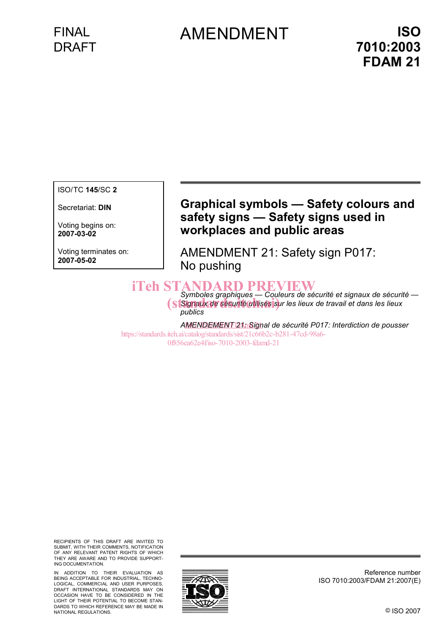## FINAL DRAFT

# AMENDMENT **ISO**

ISO/TC **145**/SC **2** 

Secretariat: **DIN** 

Voting begins on: **2007-03-02**

Voting terminates on: **2007-05-02**

## **Graphical symbols — Safety colours and safety signs — Safety signs used in workplaces and public areas**

AMENDMENT 21: Safety sign P017: No pushing

# **iTeh STANDARD PREVIEW**<br>Symboles graphiques — Couleurs de sécurité et signaux de sécurité —

Symboles graphiques — Couleurs de sécurité et signaux de sécurit<br>
Signaux de ségurité utilisés sur les lieux de travail et dans les lieux *publics* 

AMENDEMENT 24n Signal de sécurité P017: Interdiction de pousser https://standards.iteh.ai/catalog/standards/sist/21c66b2c-b281-47cd-98a6- 0f856ea62e4f/iso-7010-2003-fdamd-21

RECIPIENTS OF THIS DRAFT ARE INVITED TO SUBMIT, WITH THEIR COMMENTS, NOTIFICATION OF ANY RELEVANT PATENT RIGHTS OF WHICH THEY ARE AWARE AND TO PROVIDE SUPPORT-ING DOCUMENTATION.

IN ADDITION TO THEIR EVALUATION AS BEING ACCEPTABLE FOR INDUSTRIAL, TECHNO-LOGICAL, COMMERCIAL AND USER PURPOSES, DRAFT INTERNATIONAL STANDARDS MAY ON OCCASION HAVE TO BE CONSIDERED IN THE LIGHT OF THEIR POTENTIAL TO BECOME STAN-DARDS TO WHICH REFERENCE MAY BE MADE IN NATIONAL REGULATIONS.



Reference number ISO 7010:2003/FDAM 21:2007(E)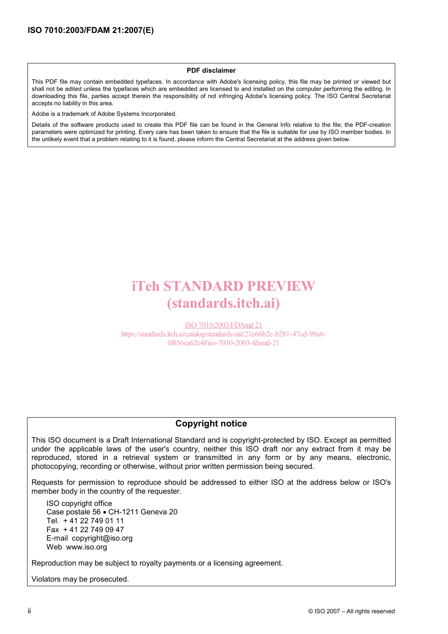#### **PDF disclaimer**

This PDF file may contain embedded typefaces. In accordance with Adobe's licensing policy, this file may be printed or viewed but shall not be edited unless the typefaces which are embedded are licensed to and installed on the computer performing the editing. In downloading this file, parties accept therein the responsibility of not infringing Adobe's licensing policy. The ISO Central Secretariat accepts no liability in this area.

Adobe is a trademark of Adobe Systems Incorporated.

Details of the software products used to create this PDF file can be found in the General Info relative to the file; the PDF-creation parameters were optimized for printing. Every care has been taken to ensure that the file is suitable for use by ISO member bodies. In the unlikely event that a problem relating to it is found, please inform the Central Secretariat at the address given below.

# iTeh STANDARD PREVIEW (standards.iteh.ai)

ISO 7010:2003/FDAmd 21 https://standards.iteh.ai/catalog/standards/sist/21c66b2c-b281-47cd-98a6- 0f856ea62e4f/iso-7010-2003-fdamd-21

### **Copyright notice**

This ISO document is a Draft International Standard and is copyright-protected by ISO. Except as permitted under the applicable laws of the user's country, neither this ISO draft nor any extract from it may be reproduced, stored in a retrieval system or transmitted in any form or by any means, electronic, photocopying, recording or otherwise, without prior written permission being secured.

Requests for permission to reproduce should be addressed to either ISO at the address below or ISO's member body in the country of the requester.

ISO copyright office Case postale 56 • CH-1211 Geneva 20 Tel. + 41 22 749 01 11 Fax + 41 22 749 09 47 E-mail copyright@iso.org Web www.iso.org

Reproduction may be subject to royalty payments or a licensing agreement.

Violators may be prosecuted.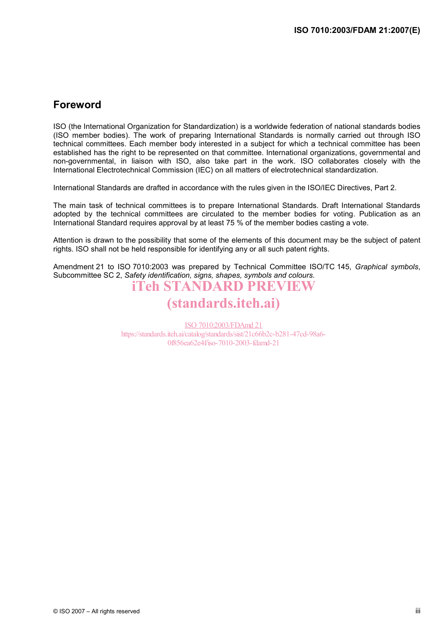### **Foreword**

ISO (the International Organization for Standardization) is a worldwide federation of national standards bodies (ISO member bodies). The work of preparing International Standards is normally carried out through ISO technical committees. Each member body interested in a subject for which a technical committee has been established has the right to be represented on that committee. International organizations, governmental and non-governmental, in liaison with ISO, also take part in the work. ISO collaborates closely with the International Electrotechnical Commission (IEC) on all matters of electrotechnical standardization.

International Standards are drafted in accordance with the rules given in the ISO/IEC Directives, Part 2.

The main task of technical committees is to prepare International Standards. Draft International Standards adopted by the technical committees are circulated to the member bodies for voting. Publication as an International Standard requires approval by at least 75 % of the member bodies casting a vote.

Attention is drawn to the possibility that some of the elements of this document may be the subject of patent rights. ISO shall not be held responsible for identifying any or all such patent rights.

Amendment 21 to ISO 7010:2003 was prepared by Technical Committee ISO/TC 145, *Graphical symbols*, Subcommittee SC 2, *Safety identification, signs, shapes, symbols and colours*.

## iTeh STANDARD PREVIEW (standards.iteh.ai)

ISO 7010:2003/FDAmd 21 https://standards.iteh.ai/catalog/standards/sist/21c66b2c-b281-47cd-98a6- 0f856ea62e4f/iso-7010-2003-fdamd-21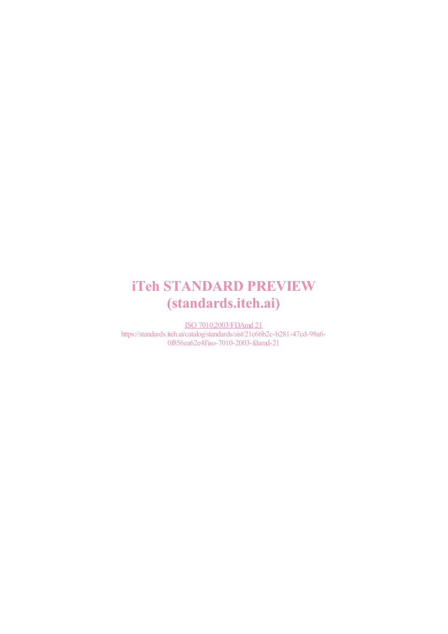# iTeh STANDARD PREVIEW (standards.iteh.ai)

ISO 7010:2003/FDAmd 21 https://standards.iteh.ai/catalog/standards/sist/21c66b2c-b281-47cd-98a6- 0f856ea62e4f/iso-7010-2003-fdamd-21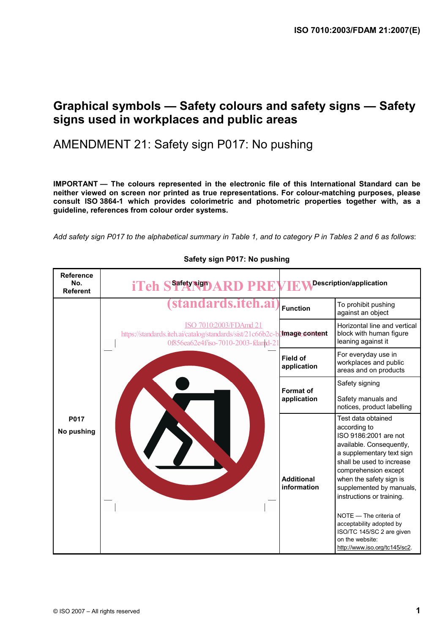### **Graphical symbols — Safety colours and safety signs — Safety signs used in workplaces and public areas**

## AMENDMENT 21: Safety sign P017: No pushing

**IMPORTANT — The colours represented in the electronic file of this International Standard can be neither viewed on screen nor printed as true representations. For colour-matching purposes, please consult ISO 3864-1 which provides colorimetric and photometric properties together with, as a guideline, references from colour order systems.** 

*Add safety sign P017 to the alphabetical summary in Table 1, and to category P in Tables 2 and 6 as follows*:

| <b>Reference</b><br>No.<br><b>Referent</b> | <b>iTeh SSafetysian ARD PREVIEW</b>                                                                                                        | <b>Description/application</b>   |                                                                                                                                                                                                                                                                                                                                                                                                      |
|--------------------------------------------|--------------------------------------------------------------------------------------------------------------------------------------------|----------------------------------|------------------------------------------------------------------------------------------------------------------------------------------------------------------------------------------------------------------------------------------------------------------------------------------------------------------------------------------------------------------------------------------------------|
|                                            | standards.iteh.ai                                                                                                                          | <b>Function</b>                  | To prohibit pushing<br>against an object                                                                                                                                                                                                                                                                                                                                                             |
| P017<br>No pushing                         | ISO 7010:2003/FDAmd 21<br>https://standards.iteh.ai/catalog/standards/sist/21c66b2c-b20nage.content<br>0f856ea62e4f/iso-7010-2003-fdand-21 |                                  | Horizontal line and vertical<br>block with human figure<br>leaning against it                                                                                                                                                                                                                                                                                                                        |
|                                            |                                                                                                                                            | <b>Field of</b><br>application   | For everyday use in<br>workplaces and public<br>areas and on products                                                                                                                                                                                                                                                                                                                                |
|                                            |                                                                                                                                            | <b>Format of</b><br>application  | Safety signing<br>Safety manuals and<br>notices, product labelling                                                                                                                                                                                                                                                                                                                                   |
|                                            |                                                                                                                                            | <b>Additional</b><br>information | Test data obtained<br>according to<br>ISO 9186:2001 are not<br>available. Consequently,<br>a supplementary text sign<br>shall be used to increase<br>comprehension except<br>when the safety sign is<br>supplemented by manuals,<br>instructions or training.<br>NOTE - The criteria of<br>acceptability adopted by<br>ISO/TC 145/SC 2 are given<br>on the website:<br>http://www.iso.org/tc145/sc2. |

### **Safety sign P017: No pushing**